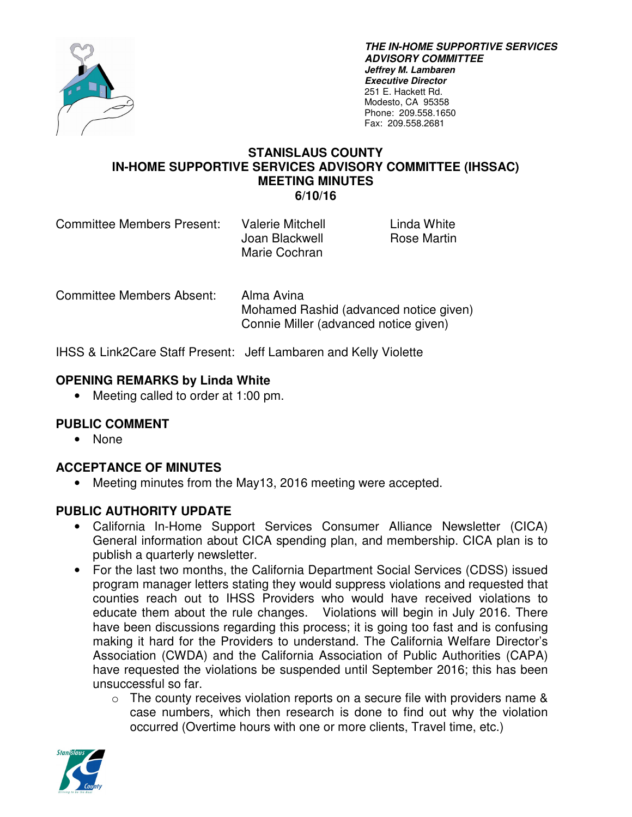

**THE IN-HOME SUPPORTIVE SERVICES ADVISORY COMMITTEE Jeffrey M. Lambaren Executive Director**  251 E. Hackett Rd. Modesto, CA 95358 Phone: 209.558.1650 Fax: 209.558.2681

> Linda White Rose Martin

#### **STANISLAUS COUNTY IN-HOME SUPPORTIVE SERVICES ADVISORY COMMITTEE (IHSSAC) MEETING MINUTES 6/10/16**

| Committee Members Present: | Valerie Mitchell |
|----------------------------|------------------|
|                            | Joan Blackwell   |
|                            | Marie Cochran    |

Committee Members Absent: Alma Avina Mohamed Rashid (advanced notice given) Connie Miller (advanced notice given)

IHSS & Link2Care Staff Present: Jeff Lambaren and Kelly Violette

## **OPENING REMARKS by Linda White**

• Meeting called to order at 1:00 pm.

## **PUBLIC COMMENT**

• None

### **ACCEPTANCE OF MINUTES**

Meeting minutes from the May13, 2016 meeting were accepted.

### **PUBLIC AUTHORITY UPDATE**

- California In-Home Support Services Consumer Alliance Newsletter (CICA) General information about CICA spending plan, and membership. CICA plan is to publish a quarterly newsletter.
- For the last two months, the California Department Social Services (CDSS) issued program manager letters stating they would suppress violations and requested that counties reach out to IHSS Providers who would have received violations to educate them about the rule changes. Violations will begin in July 2016. There have been discussions regarding this process; it is going too fast and is confusing making it hard for the Providers to understand. The California Welfare Director's Association (CWDA) and the California Association of Public Authorities (CAPA) have requested the violations be suspended until September 2016; this has been unsuccessful so far.
	- $\circ$  The county receives violation reports on a secure file with providers name & case numbers, which then research is done to find out why the violation occurred (Overtime hours with one or more clients, Travel time, etc.)

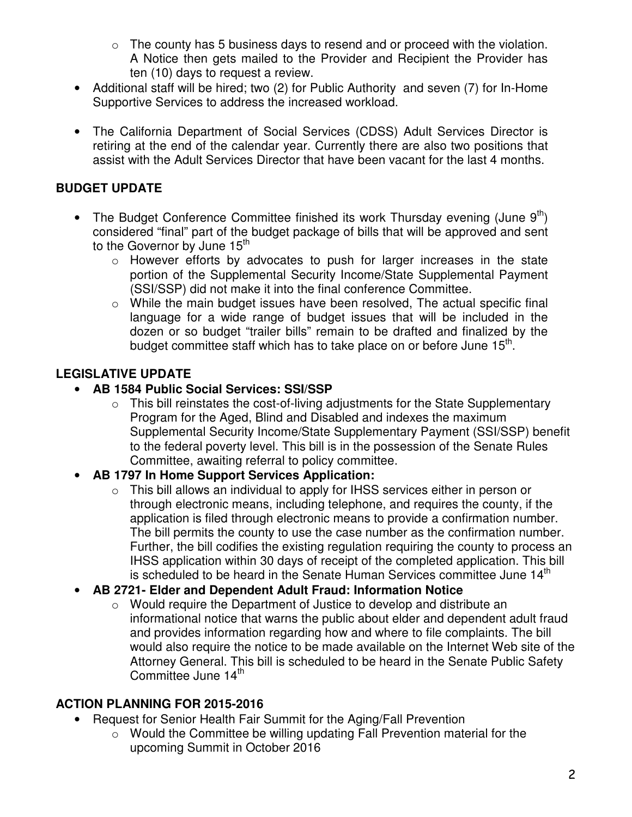- $\circ$  The county has 5 business days to resend and or proceed with the violation. A Notice then gets mailed to the Provider and Recipient the Provider has ten (10) days to request a review.
- Additional staff will be hired; two (2) for Public Authority and seven (7) for In-Home Supportive Services to address the increased workload.
- The California Department of Social Services (CDSS) Adult Services Director is retiring at the end of the calendar year. Currently there are also two positions that assist with the Adult Services Director that have been vacant for the last 4 months.

# **BUDGET UPDATE**

- The Budget Conference Committee finished its work Thursday evening (June  $9<sup>th</sup>$ ) considered "final" part of the budget package of bills that will be approved and sent to the Governor by June 15<sup>th</sup>
	- o However efforts by advocates to push for larger increases in the state portion of the Supplemental Security Income/State Supplemental Payment (SSI/SSP) did not make it into the final conference Committee.
	- $\circ$  While the main budget issues have been resolved. The actual specific final language for a wide range of budget issues that will be included in the dozen or so budget "trailer bills" remain to be drafted and finalized by the budget committee staff which has to take place on or before June  $15<sup>th</sup>$ .

# **LEGISLATIVE UPDATE**

### • **AB 1584 Public Social Services: SSI/SSP**

 $\circ$  This bill reinstates the cost-of-living adjustments for the State Supplementary Program for the Aged, Blind and Disabled and indexes the maximum Supplemental Security Income/State Supplementary Payment (SSI/SSP) benefit to the federal poverty level. This bill is in the possession of the Senate Rules Committee, awaiting referral to policy committee.

## • **AB 1797 In Home Support Services Application:**

- o This bill allows an individual to apply for IHSS services either in person or through electronic means, including telephone, and requires the county, if the application is filed through electronic means to provide a confirmation number. The bill permits the county to use the case number as the confirmation number. Further, the bill codifies the existing regulation requiring the county to process an IHSS application within 30 days of receipt of the completed application. This bill is scheduled to be heard in the Senate Human Services committee June 14<sup>th</sup>
- **AB 2721- Elder and Dependent Adult Fraud: Information Notice** 
	- o Would require the Department of Justice to develop and distribute an informational notice that warns the public about elder and dependent adult fraud and provides information regarding how and where to file complaints. The bill would also require the notice to be made available on the Internet Web site of the Attorney General. This bill is scheduled to be heard in the Senate Public Safety Committee June 14<sup>th</sup>

## **ACTION PLANNING FOR 2015-2016**

- Request for Senior Health Fair Summit for the Aging/Fall Prevention
	- o Would the Committee be willing updating Fall Prevention material for the upcoming Summit in October 2016